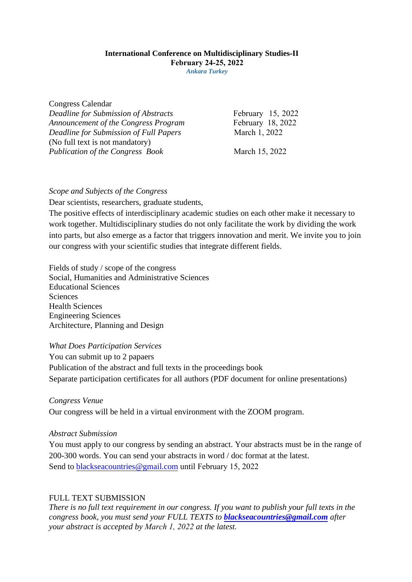# **International Conference on Multidisciplinary Studies-II February 24-25, 2022**

*Ankara Turkey*

Congress Calendar

*Deadline for Submission of Abstracts Announcement of the Congress Program Deadline for Submission of Full Papers*  (No full text is not mandatory) *Publication of the Congress Book* 

February 15, 2022 February 18, 2022 March 1, 2022

March 15, 2022

## *Scope and Subjects of the Congress*

Dear scientists, researchers, graduate students,

The positive effects of interdisciplinary academic studies on each other make it necessary to work together. Multidisciplinary studies do not only facilitate the work by dividing the work into parts, but also emerge as a factor that triggers innovation and merit. We invite you to join our congress with your scientific studies that integrate different fields.

Fields of study / scope of the congress Social, Humanities and Administrative Sciences Educational Sciences Sciences Health Sciences Engineering Sciences Architecture, Planning and Design

*What Does Participation Services* 

You can submit up to 2 papaers Publication of the abstract and full texts in the proceedings book Separate participation certificates for all authors (PDF document for online presentations)

*Congress Venue* 

Our congress will be held in a virtual environment with the ZOOM program.

#### *Abstract Submission*

You must apply to our congress by sending an abstract. Your abstracts must be in the range of 200-300 words. You can send your abstracts in word / doc format at the latest. Send to [blackseacountries@gmail.com](mailto:blackseacountries@gmail.com) until February 15, 2022

# FULL TEXT SUBMISSION

*There is no full text requirement in our congress. If you want to publish your full texts in the congress book, you must send your FULL TEXTS to [blackseacountries@gmail.com](mailto:blackseacountries@gmail.com) after your abstract is accepted by March 1, 2022 at the latest.*